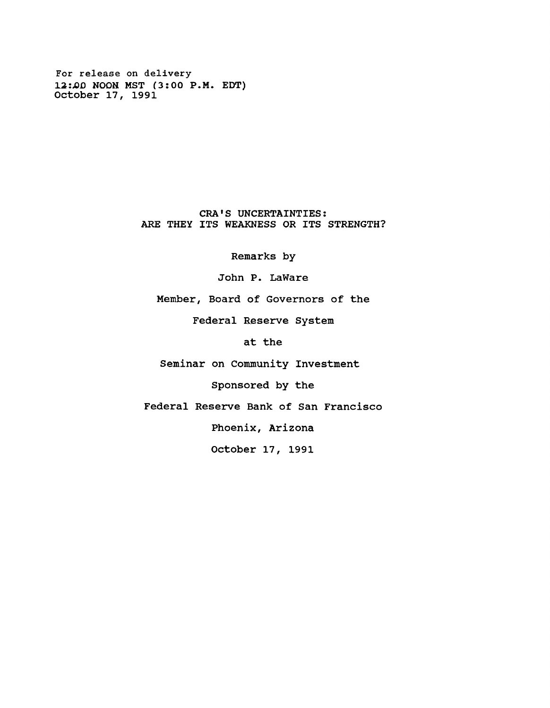**For release on delivery 12***iJOD* **NOON MST (3:00 P.M. EDT) October 17, 1991**

> **CRA'S UNCERTAINTIES: ARE THEY ITS WEAKNESS OR ITS STRENGTH?**

> > **Remarks by**

**John P. LaWare**

**Member, Board of Governors of the**

**Federal Reserve System**

**at the**

**Seminar on Community Investment**

**Sponsored by the**

**Federal Reserve Bank of San Francisco**

**Phoenix, Arizona**

**October 17, 1991**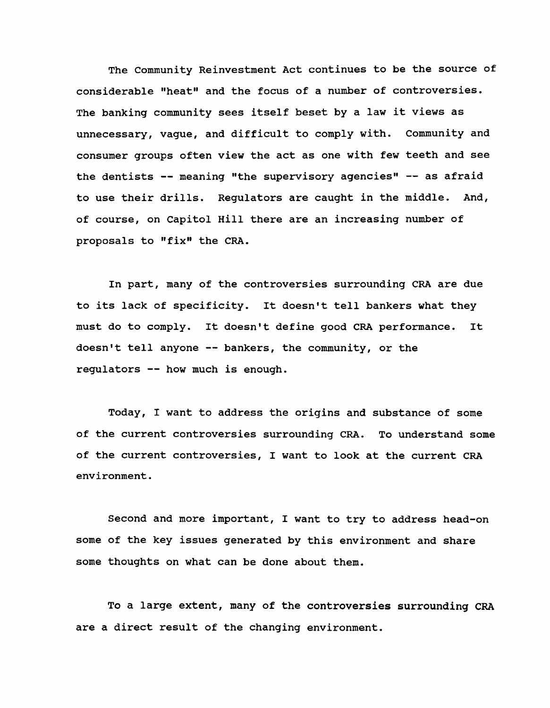**The Community Reinvestment Act continues to be the source of considerable "heat" and the focus of a number of controversies. The banking community sees itself beset by a law it views as unnecessary, vague, and difficult to comply with. Community and consumer groups often view the act as one with few teeth and see the dentists — meaning "the supervisory agencies" — as afraid to use their drills. Regulators are caught in the middle. And, of course, on Capitol Hill there are an increasing number of proposals to "fix" the CRA.**

**In part, many of the controversies surrounding CRA are due to its lack of specificity. It doesn't tell bankers what they must do to comply. It doesn't define good CRA performance. It doesn't tell anyone — bankers, the community, or the regulators — how much is enough.**

**Today, I want to address the origins and substance of some of the current controversies surrounding CRA. To understand some of the current controversies, I want to look at the current CRA environment.**

**Second and more important, I want to try to address head-on some of the key issues generated by this environment and share some thoughts on what can be done about them.**

**To a large extent, many of the controversies surrounding CRA are a direct result of the changing environment.**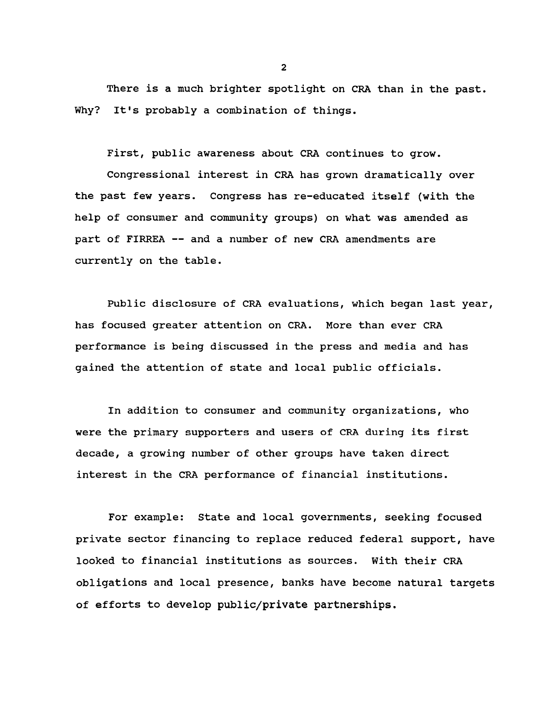**There is a much brighter spotlight on CRA than in the past. Why? It's probably a combination of things.**

**First, public awareness about CRA continues to grow.**

**Congressional interest in CRA has grown dramatically over the past few years. Congress has re-educated itself (with the help of consumer and community groups) on what was amended as part of FIRREA — and a number of new CRA amendments are currently on the table.**

**Public disclosure of CRA evaluations, which began last year, has focused greater attention on CRA. More than ever CRA performance is being discussed in the press and media and has gained the attention of state and local public officials.**

**In addition to consumer and community organizations, who were the primary supporters and users of CRA during its first decade, a growing number of other groups have taken direct interest in the CRA performance of financial institutions.**

**For example: State and local governments, seeking focused private sector financing to replace reduced federal support, have looked to financial institutions as sources. With their CRA obligations and local presence, banks have become natural targets of efforts to develop public/private partnerships.**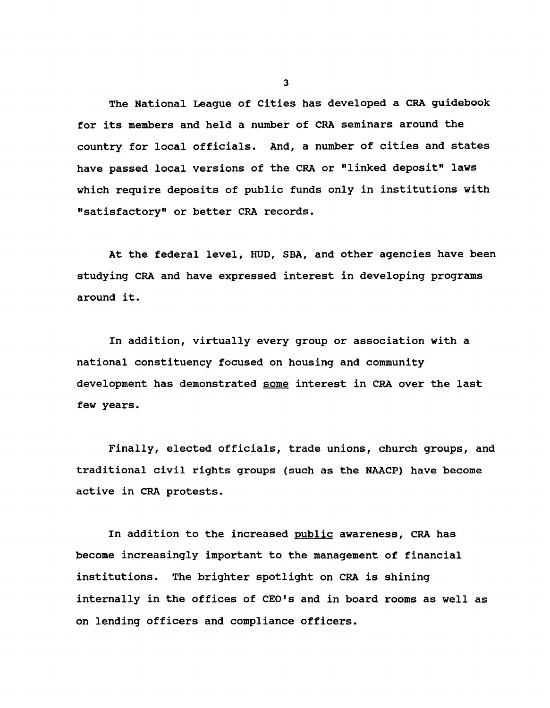**The National League of Cities has developed a CRA guidebook for its members and held a number of CRA seminars around the country for local officials. And, a number of cities and states have passed local versions of the CRA or "linked deposit" laws which require deposits of public funds only in institutions with "satisfactory" or better CRA records.**

**At the federal level, HUD, SBA, and other agencies have been studying CRA and have expressed interest in developing programs around it.**

**In addition, virtually every group or association with a national constituency focused on housing and community development has demonstrated some interest in CRA over the last few years.**

**Finally, elected officials, trade unions, church groups, and traditional civil rights groups (such as the NAACP) have become active in CRA protests.**

**In addition to the increased public awareness, CRA has become increasingly important to the management of financial institutions. The brighter spotlight on CRA is shining internally in the offices of CEO's and in board rooms as well as on lending officers and compliance officers.**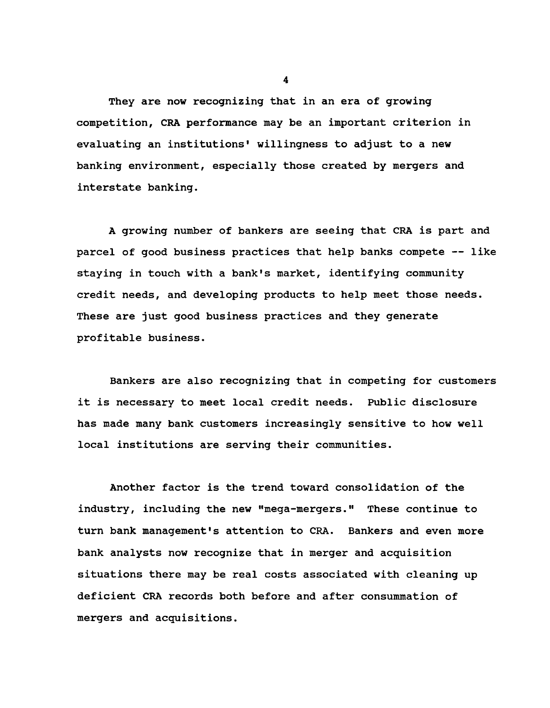**They are now recognizing that in an era of growing competition, CRA performance may be an important criterion in evaluating an institutions' willingness to adjust to a new banking environment, especially those created by mergers and interstate banking.**

**A growing number of bankers are seeing that CRA is part and parcel of good business practices that help banks compete — like staying in touch with a bank's market, identifying community credit needs, and developing products to help meet those needs. These are just good business practices and they generate profitable business.**

**Bankers are also recognizing that in competing for customers it is necessary to meet local credit needs. Public disclosure has made many bank customers increasingly sensitive to how well local institutions are serving their communities.**

**Another factor is the trend toward consolidation of the industry, including the new "mega-mergers." These continue to turn bank management's attention to CRA. Bankers and even more bank analysts now recognize that in merger and acquisition situations there may be real costs associated with cleaning up deficient CRA records both before and after consummation of mergers and acquisitions.**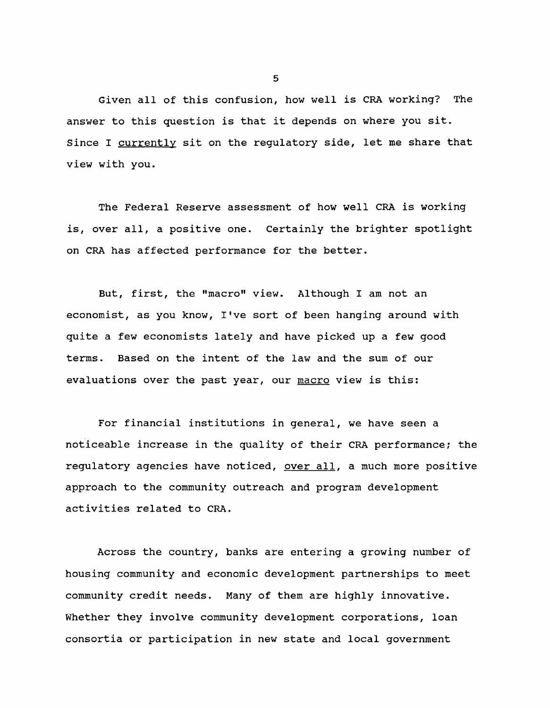**Given all of this confusion, how well is CRA working? The answer to this question is that it depends on where you sit. Since I currently sit on the regulatory side, let me share that view with you.**

**The Federal Reserve assessment of how well CRA is working is, over all, a positive one. Certainly the brighter spotlight on CRA has affected performance for the better.**

**But, first, the "macro" view. Although I am not an economist, as you know, I've sort of been hanging around with quite a few economists lately and have picked up a few good terms. Based on the intent of the law and the sum of our evaluations over the past year, our macro view is this:**

**For financial institutions in general, we have seen a noticeable increase in the quality of their CRA performance; the regulatory agencies have noticed, over all, a much more positive approach to the community outreach and program development activities related to CRA.**

**Across the country, banks are entering a growing number of housing community and economic development partnerships to meet community credit needs. Many of them are highly innovative. Whether they involve community development corporations, loan consortia or participation in new state and local government**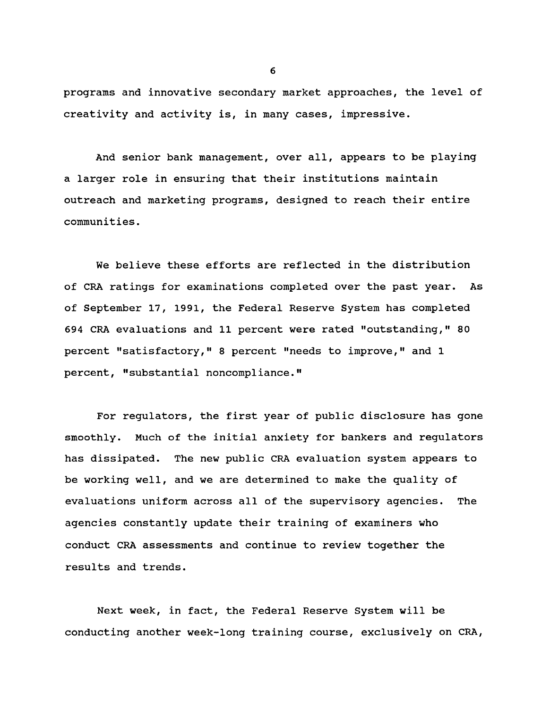**programs and innovative secondary market approaches, the level of creativity and activity is, in many cases, impressive.**

**And senior bank management, over all, appears to be playing a larger role in ensuring that their institutions maintain outreach and marketing programs, designed to reach their entire communities.**

**We believe these efforts are reflected in the distribution of CRA ratings for examinations completed over the past year. As of September 17, 1991, the Federal Reserve System has completed 694 CRA evaluations and 11 percent were rated "outstanding," 80 percent "satisfactory," 8 percent "needs to improve," and 1 percent, "substantial noncompliance."**

**For regulators, the first year of public disclosure has gone smoothly. Much of the initial anxiety for bankers and regulators has dissipated. The new public CRA evaluation system appears to be working well, and we are determined to make the quality of evaluations uniform across all of the supervisory agencies. The agencies constantly update their training of examiners who conduct CRA assessments and continue to review together the results and trends.**

**Next week, in fact, the Federal Reserve System will be conducting another week-long training course, exclusively on CRA,**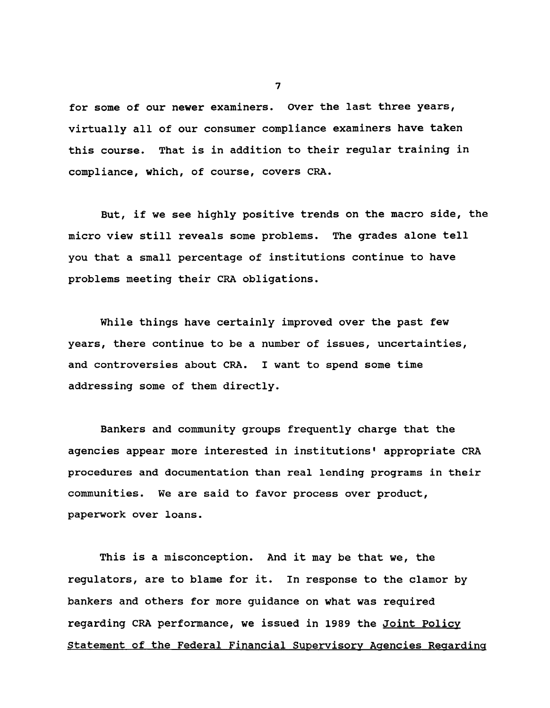**for some of our newer examiners. Over the last three years, virtually all of our consumer compliance examiners have taken this course. That is in addition to their regular training in compliance, which, of course, covers CRA.**

**But, if we see highly positive trends on the macro side, the micro view still reveals some problems. The grades alone tell you that a small percentage of institutions continue to have problems meeting their CRA obligations.**

**While things have certainly improved over the past few years, there continue to be a number of issues, uncertainties, and controversies about CRA. I want to spend some time addressing some of them directly.**

**Bankers and community groups frequently charge that the agencies appear more interested in institutions' appropriate CRA procedures and documentation than real lending programs in their communities. We are said to favor process over product, paperwork over loans.**

**This is a misconception. And it may be that we, the regulators, are to blame for it. In response to the clamor by bankers and others for more guidance on what was required regarding CRA performance, we issued in 1989 the Joint Policy Statement of the Federal Financial Supervisory Agencies Regarding**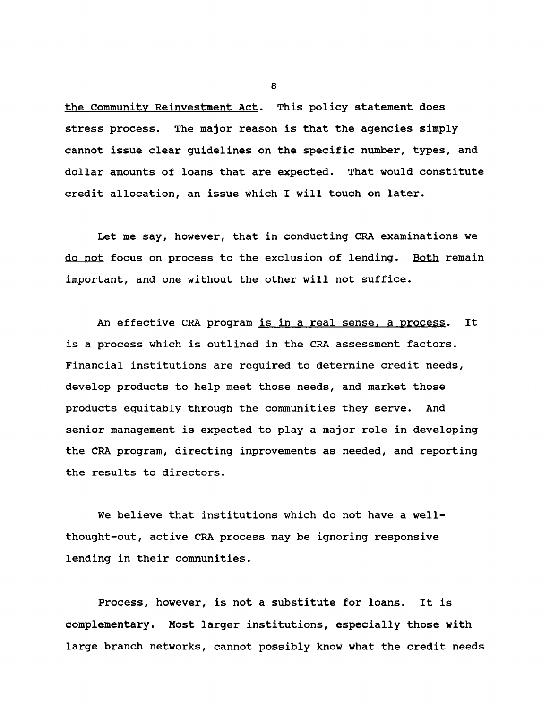**the Community Reinvestment Act. This policy statement does stress process. The major reason is that the agencies simply cannot issue clear guidelines on the specific number, types, and dollar amounts of loans that are expected. That would constitute credit allocation, an issue which I will touch on later.**

**Let me say, however, that in conducting CRA examinations we do not focus on process to the exclusion of lending. Both remain important, and one without the other will not suffice.**

**An effective CRA program is in a real sense, a process. It is a process which is outlined in the CRA assessment factors. Financial institutions are required to determine credit needs, develop products to help meet those needs, and market those products equitably through the communities they serve. And senior management is expected to play a major role in developing the CRA program, directing improvements as needed, and reporting the results to directors.**

**We believe that institutions which do not have a wellthought-out, active CRA process may be ignoring responsive lending in their communities.**

**Process, however, is not a substitute for loans. It is complementary. Most larger institutions, especially those with large branch networks, cannot possibly know what the credit needs**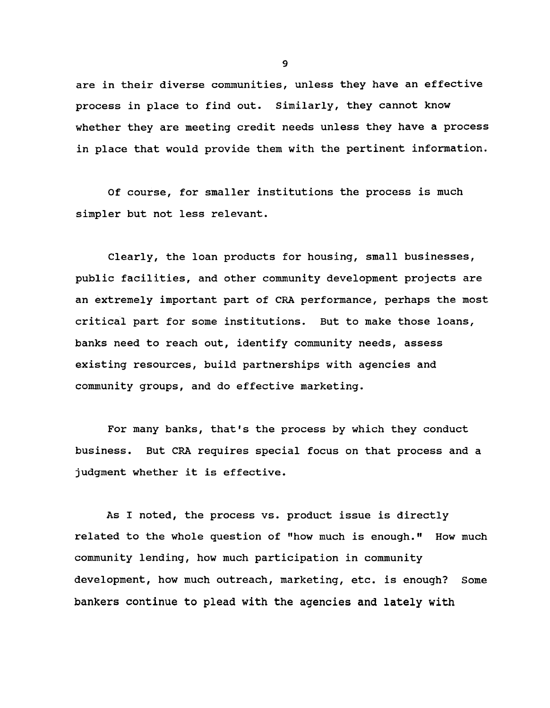**are in their diverse communities, unless they have an effective process in place to find out. Similarly, they cannot know whether they are meeting credit needs unless they have a process in place that would provide them with the pertinent information.**

**Of course, for smaller institutions the process is much simpler but not less relevant.**

**Clearly, the loan products for housing, small businesses, public facilities, and other community development projects are an extremely important part of CRA performance, perhaps the most critical part for some institutions. But to make those loans, banks need to reach out, identify community needs, assess existing resources, build partnerships with agencies and community groups, and do effective marketing.**

**For many banks, that's the process by which they conduct business. But CRA requires special focus on that process and a judgment whether it is effective.**

**As I noted, the process vs. product issue is directly related to the whole question of "how much is enough." How much community lending, how much participation in community development, how much outreach, marketing, etc. is enough? Some bankers continue to plead with the agencies and lately with**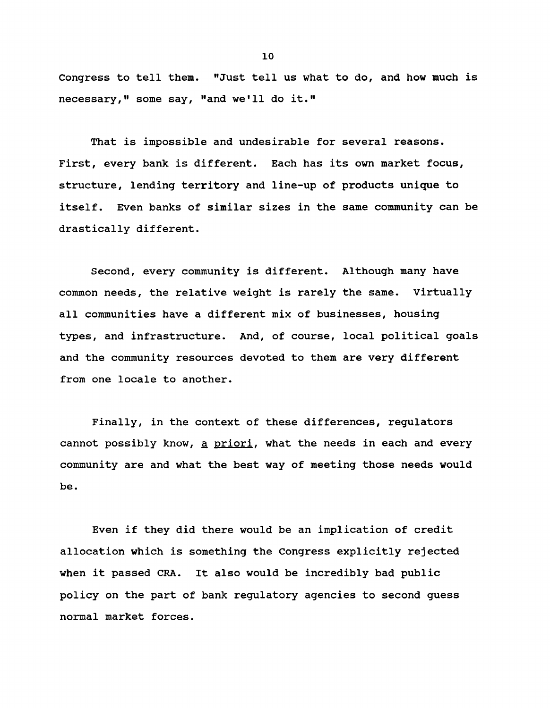**Congress to tell them. "Just tell us what to do, and how much is necessary," some say, "and we'll do it."**

**That is impossible and undesirable for several reasons. First, every bank is different. Each has its own market focus, structure, lending territory and line-up of products unique to itself. Even banks of similar sizes in the same community can be drastically different.**

**Second, every community is different. Although many have common needs, the relative weight is rarely the same. Virtually all communities have a different mix of businesses, housing types, and infrastructure. And, of course, local political goals and the community resources devoted to them are very different from one locale to another.**

**Finally, in the context of these differences, regulators cannot possibly know, a priori. what the needs in each and every community are and what the best way of meeting those needs would be.**

**Even if they did there would be an implication of credit allocation which is something the Congress explicitly rejected when it passed CRA. It also would be incredibly bad public policy on the part of bank regulatory agencies to second guess normal market forces.**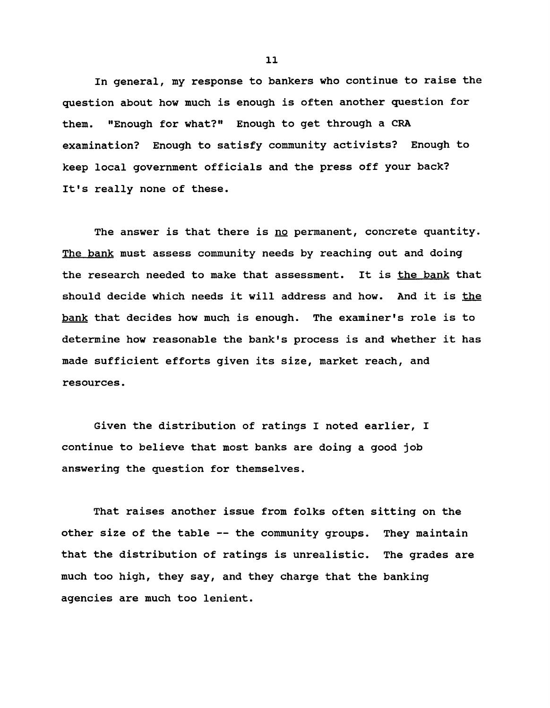**In general, my response to bankers who continue to raise the question about how much is enough is often another question for them. "Enough for what?" Enough to get through a CRA examination? Enough to satisfy community activists? Enough to keep local government officials and the press off your back? It's really none of these.**

The answer is that there is no permanent, concrete quantity. **The bank must assess community needs by reaching out and doing the research needed to make that assessment. It is the bank that should decide which needs it will address and how. And it is the bank that decides how much is enough. The examiner's role is to determine how reasonable the bank's process is and whether it has made sufficient efforts given its size, market reach, and resources.**

**Given the distribution of ratings I noted earlier, I continue to believe that most banks are doing a good job answering the question for themselves.**

**That raises another issue from folks often sitting on the other size of the table — the community groups. They maintain that the distribution of ratings is unrealistic. The grades are much too high, they say, and they charge that the banking agencies are much too lenient.**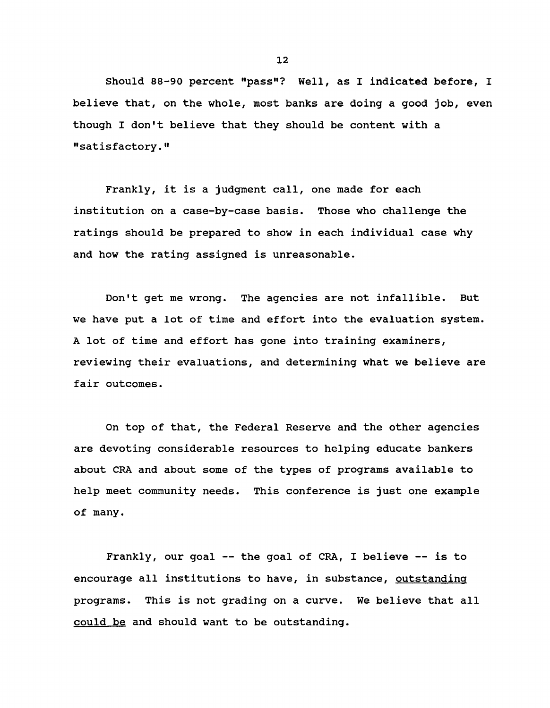**Should 88-90 percent "pass"? Well, as I indicated before, I believe that, on the whole, most banks are doing a good job, even though I don't believe that they should be content with a "satisfactory."**

**Frankly, it is a judgment call, one made for each institution on a case-by-case basis. Those who challenge the ratings should be prepared to show in each individual case why and how the rating assigned is unreasonable.**

**Don't get me wrong. The agencies are not infallible. But we have put a lot of time and effort into the evaluation system. A lot of time and effort has gone into training examiners, reviewing their evaluations, and determining what we believe are fair outcomes.**

**On top of that, the Federal Reserve and the other agencies are devoting considerable resources to helping educate bankers about CRA and about some of the types of programs available to help meet community needs. This conference is just one example of many.**

**Frankly, our goal ■— the goal of CRA, I believe — is to encourage all institutions to have, in substance, outstanding programs. This is not grading on a curve. We believe that all could be and should want to be outstanding.**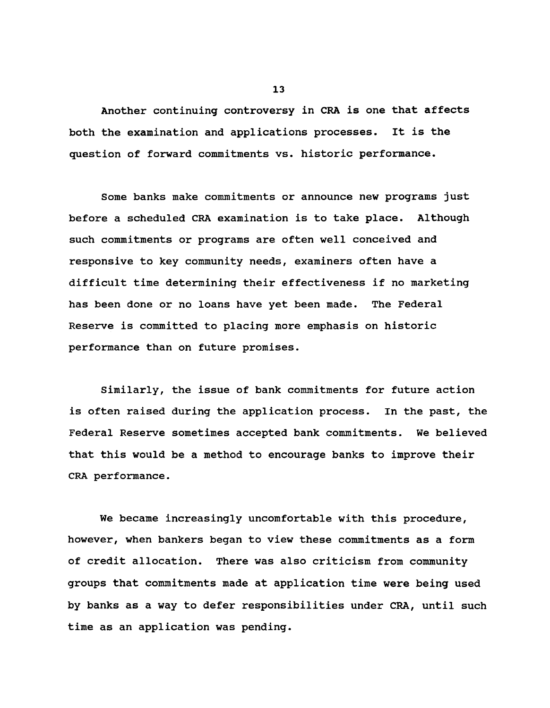**Another continuing controversy in CRA is one that affects both the examination and applications processes. It is the question of forward commitments vs. historic performance.**

**Some banks make commitments or announce new programs just before a scheduled CRA examination is to take place. Although such commitments or programs are often well conceived and responsive to key community needs, examiners often have a difficult time determining their effectiveness if no marketing has been done or no loans have yet been made. The Federal Reserve is committed to placing more emphasis on historic performance than on future promises.**

**Similarly, the issue of bank commitments for future action is often raised during the application process. In the past, the Federal Reserve sometimes accepted bank commitments. We believed that this would be a method to encourage banks to improve their CRA performance.**

**We became increasingly uncomfortable with this procedure, however, when bankers began to view these commitments as a form of credit allocation. There was also criticism from community groups that commitments made at application time were being used by banks as a way to defer responsibilities under CRA, until such time as an application was pending.**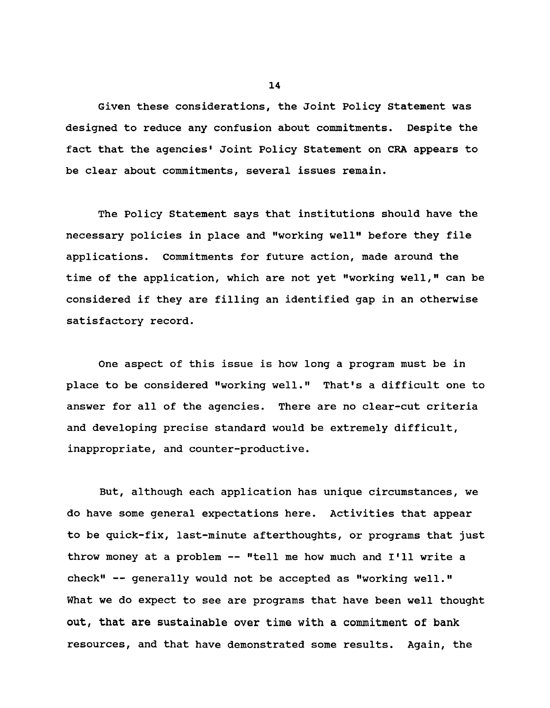**Given these considerations, the Joint Policy Statement was designed to reduce any confusion about commitments. Despite the fact that the agencies' Joint Policy Statement on CRA appears to be clear about commitments, several issues remain.**

**The Policy Statement says that institutions should have the necessary policies in place and "working well" before they file applications. Commitments for future action, made around the time of the application, which are not yet "working well," can be considered if they are filling an identified gap in an otherwise satisfactory record.**

**One aspect of this issue is how long a program must be in place to be considered "working well." That's a difficult one to answer for all of the agencies. There are no clear-cut criteria and developing precise standard would be extremely difficult, inappropriate, and counter-productive.**

**But, although each application has unique circumstances, we do have some general expectations here. Activities that appear to be quick-fix, last-minute afterthoughts, or programs that just throw money at a problem — "tell me how much and I'll write a check" — generally would not be accepted as "working well." What we do expect to see are programs that have been well thought out, that are sustainable over time with a commitment of bank resources, and that have demonstrated some results. Again, the**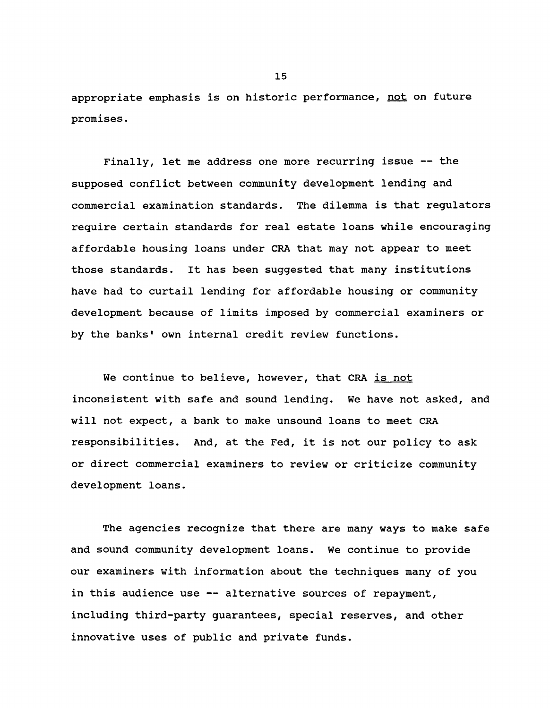**appropriate emphasis is on historic performance, not on future promises.**

**Finally, let me address one more recurring issue — the supposed conflict between community development lending and commercial examination standards. The dilemma is that regulators require certain standards for real estate loans while encouraging affordable housing loans under CRA that may not appear to meet those standards. It has been suggested that many institutions have had to curtail lending for affordable housing or community development because of limits imposed by commercial examiners or by the banks' own internal credit review functions.**

**We continue to believe, however, that CRA is not inconsistent with safe and sound lending. We have not asked, and will not expect, a bank to make unsound loans to meet CRA responsibilities. And, at the Fed, it is not our policy to ask or direct commercial examiners to review or criticize community development loans.**

**The agencies recognize that there are many ways to make safe and sound community development loans. We continue to provide our examiners with information about the techniques many of you in this audience use — alternative sources of repayment, including third-party guarantees, special reserves, and other innovative uses of public and private funds.**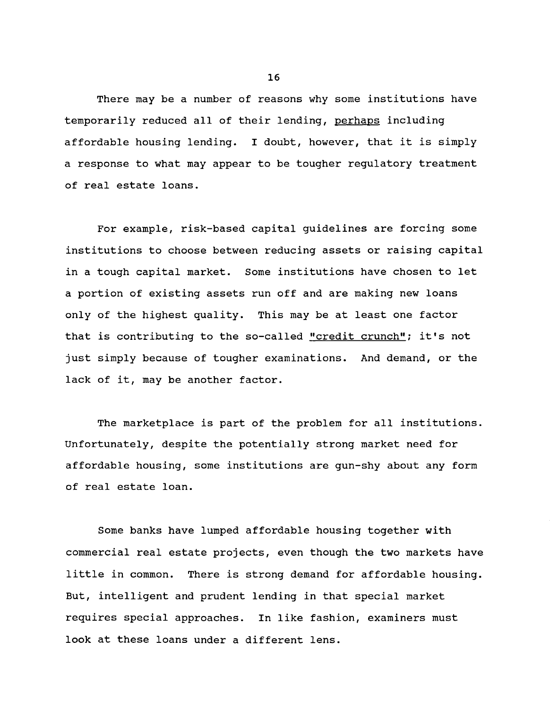**There may be a number of reasons why some institutions have temporarily reduced all of their lending, perhaps including affordable housing lending. I doubt, however, that it is simply a response to what may appear to be tougher regulatory treatment of real estate loans.**

**For example, risk-based capital guidelines are forcing some institutions to choose between reducing assets or raising capital in a tough capital market. Some institutions have chosen to let a portion of existing assets run off and are making new loans only of the highest quality. This may be at least one factor that is contributing to the so-called "credit crunch"; it's not just simply because of tougher examinations. And demand, or the lack of it, may be another factor.**

**The marketplace is part of the problem for all institutions. Unfortunately, despite the potentially strong market need for affordable housing, some institutions are gun-shy about any form of real estate loan.**

**Some banks have lumped affordable housing together with commercial real estate projects, even though the two markets have little in common. There is strong demand for affordable housing. But, intelligent and prudent lending in that special market requires special approaches. In like fashion, examiners must look at these loans under a different lens.**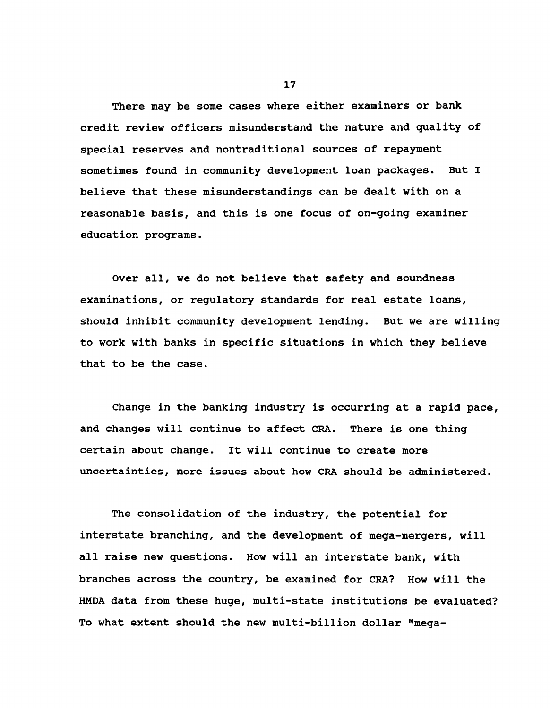**There may be some cases where either examiners or bank credit review officers misunderstand the nature and quality of special reserves and nontraditional sources of repayment sometimes found in community development loan packages. But I believe that these misunderstandings can be dealt with on a reasonable basis, and this is one focus of on-going examiner education programs.**

**Over all, we do not believe that safety and soundness examinations, or regulatory standards for real estate loans, should inhibit community development lending. But we are willing to work with banks in specific situations in which they believe that to be the case.**

**Change in the banking industry is occurring at a rapid pace, and changes will continue to affect CRA. There is one thing certain about change. It will continue to create more uncertainties, more issues about how CRA should be administered.**

**The consolidation of the industry, the potential for interstate branching, and the development of mega-mergers, will all raise new questions. How will an interstate bank, with branches across the country, be examined for CRA? How will the HMDA data from these huge, multi-state institutions be evaluated? To what extent should the new multi-billion dollar "mega-**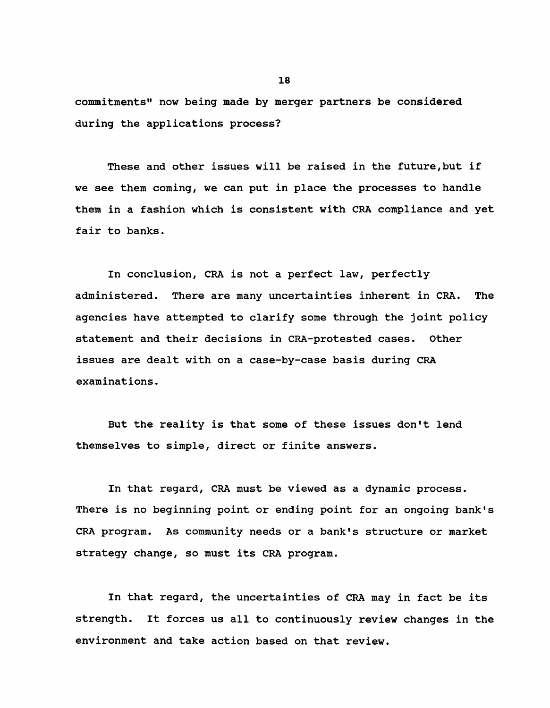**commitments" now being made by merger partners be considered during the applications process?**

**These and other issues will be raised in the future,but if we see them coming, we can put in place the processes to handle them in a fashion which is consistent with CRA compliance and yet fair to banks.**

**In conclusion, CRA is not a perfect law, perfectly administered. There are many uncertainties inherent in CRA. The agencies have attempted to clarify some through the joint policy statement and their decisions in CRA-protested cases. Other issues are dealt with on a case-by-case basis during CRA examinations.**

**But the reality is that some of these issues don't lend themselves to simple, direct or finite answers.**

**In that regard, CRA must be viewed as a dynamic process. There is no beginning point or ending point for an ongoing bank's CRA program. As community needs or a bank's structure or market strategy change, so must its CRA program.**

**In that regard, the uncertainties of CRA may in fact be its strength. It forces us all to continuously review changes in the environment and take action based on that review.**